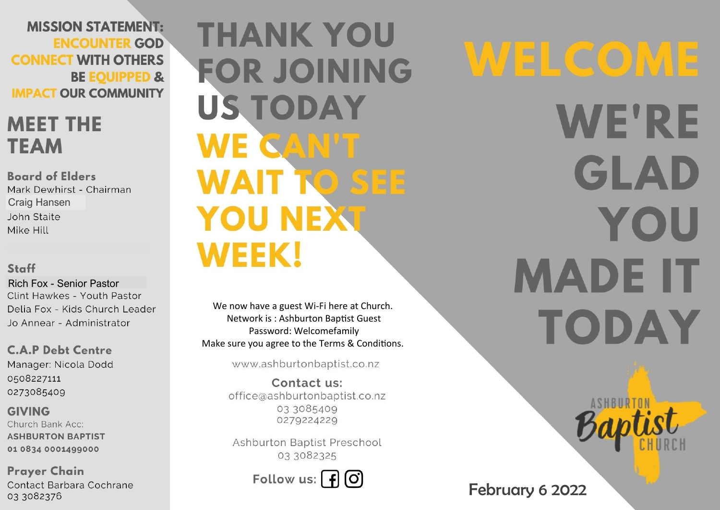**MISSION STATEMENT: ENCOUNTER GOD CONNECT WITH OTHERS BE EQUIPPED & IMPACT OUR COMMUNITY** 

## **MEET THE TEAM**

**Board of Elders** Mark Dewhirst - Chairman Craig Hansen John Staite Mike Hill

### Staff

Rich Fox - Senior PastorClint Hawkes - Youth Pastor Delia Fox - Kids Church Leader Jo Annear - Administrator

**C.A.P Debt Centre** Manager: Nicola Dodd 0508227111 0273085409

**GIVING** Church Bank Acc: **ASHBURTON BAPTIST** 01 0834 0001499000

**Prayer Chain** Contact Barbara Cochrane 03 3082376

**THANK YOU FOR JOINING US TODAY WE CAN'T WAIT TO SEE YOU NEXT WEEK!** 

We now have a guest Wi-Fi here at Church. Network is : Ashburton Baptist Guest Password: Welcomefamily Make sure you agree to the Terms & Conditions.

www.ashburtonbaptist.co.nz

Contact us: office@ashburtonbaptist.co.nz 03 3085409 0279224229

Ashburton Baptist Preschool 03 3082325

Follow us:  $\int f(x)$ 

WELCOME **WE'RE** GLAD YOU **MADE IT TODAY** 

February 6 2022